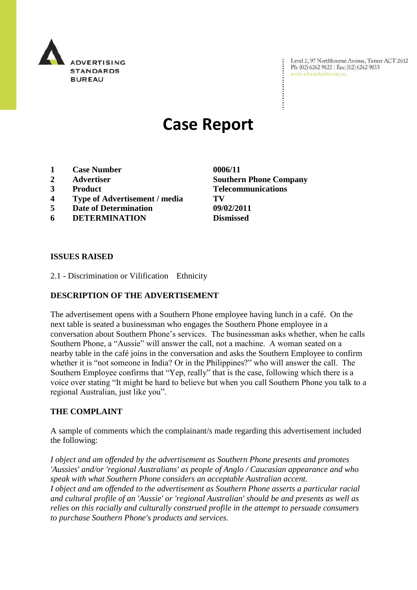

Level 2, 97 Northbourne Avenue, Turner ACT 2612 Ph: (02) 6262 9822 | Fax: (02) 6262 9833 www.adstandards.com.au

# **Case Report**

- **1 Case Number 0006/11**
- **2 Advertiser Southern Phone Company**
- 
- **4 Type of Advertisement / media TV**
- **5 Date of Determination 09/02/2011**
- **6 DETERMINATION Dismissed**

**3 Product Telecommunications**

### **ISSUES RAISED**

2.1 - Discrimination or Vilification Ethnicity

### **DESCRIPTION OF THE ADVERTISEMENT**

The advertisement opens with a Southern Phone employee having lunch in a café. On the next table is seated a businessman who engages the Southern Phone employee in a conversation about Southern Phone's services. The businessman asks whether, when he calls Southern Phone, a "Aussie" will answer the call, not a machine. A woman seated on a nearby table in the café joins in the conversation and asks the Southern Employee to confirm whether it is "not someone in India? Or in the Philippines?" who will answer the call. The Southern Employee confirms that "Yep, really" that is the case, following which there is a voice over stating "It might be hard to believe but when you call Southern Phone you talk to a regional Australian, just like you".

### **THE COMPLAINT**

A sample of comments which the complainant/s made regarding this advertisement included the following:

*I object and am offended by the advertisement as Southern Phone presents and promotes 'Aussies' and/or 'regional Australians' as people of Anglo / Caucasian appearance and who speak with what Southern Phone considers an acceptable Australian accent. I object and am offended to the advertisement as Southern Phone asserts a particular racial and cultural profile of an 'Aussie' or 'regional Australian' should be and presents as well as relies on this racially and culturally construed profile in the attempt to persuade consumers to purchase Southern Phone's products and services.*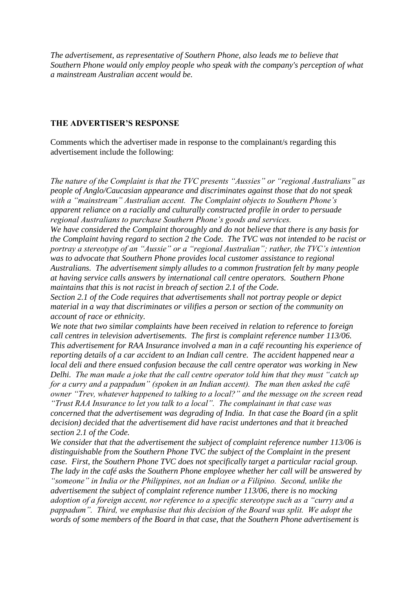*The advertisement, as representative of Southern Phone, also leads me to believe that Southern Phone would only employ people who speak with the company's perception of what a mainstream Australian accent would be.* 

#### **THE ADVERTISER'S RESPONSE**

Comments which the advertiser made in response to the complainant/s regarding this advertisement include the following:

*The nature of the Complaint is that the TVC presents "Aussies" or "regional Australians" as people of Anglo/Caucasian appearance and discriminates against those that do not speak with a "mainstream" Australian accent. The Complaint objects to Southern Phone's apparent reliance on a racially and culturally constructed profile in order to persuade regional Australians to purchase Southern Phone's goods and services. We have considered the Complaint thoroughly and do not believe that there is any basis for the Complaint having regard to section 2 the Code. The TVC was not intended to be racist or portray a stereotype of an "Aussie" or a "regional Australian"; rather, the TVC's intention* 

*was to advocate that Southern Phone provides local customer assistance to regional Australians. The advertisement simply alludes to a common frustration felt by many people at having service calls answers by international call centre operators. Southern Phone maintains that this is not racist in breach of section 2.1 of the Code.*

*Section 2.1 of the Code requires that advertisements shall not portray people or depict material in a way that discriminates or vilifies a person or section of the community on account of race or ethnicity.*

*We note that two similar complaints have been received in relation to reference to foreign call centres in television advertisements. The first is complaint reference number 113/06. This advertisement for RAA Insurance involved a man in a café recounting his experience of reporting details of a car accident to an Indian call centre. The accident happened near a local deli and there ensued confusion because the call centre operator was working in New Delhi. The man made a joke that the call centre operator told him that they must "catch up for a curry and a pappadum" (spoken in an Indian accent). The man then asked the café owner "Trev, whatever happened to talking to a local?" and the message on the screen read "Trust RAA Insurance to let you talk to a local". The complainant in that case was concerned that the advertisement was degrading of India. In that case the Board (in a split decision) decided that the advertisement did have racist undertones and that it breached section 2.1 of the Code.*

*We consider that that the advertisement the subject of complaint reference number 113/06 is distinguishable from the Southern Phone TVC the subject of the Complaint in the present case. First, the Southern Phone TVC does not specifically target a particular racial group. The lady in the café asks the Southern Phone employee whether her call will be answered by "someone" in India or the Philippines, not an Indian or a Filipino. Second, unlike the advertisement the subject of complaint reference number 113/06, there is no mocking adoption of a foreign accent, nor reference to a specific stereotype such as a "curry and a pappadum". Third, we emphasise that this decision of the Board was split. We adopt the words of some members of the Board in that case, that the Southern Phone advertisement is*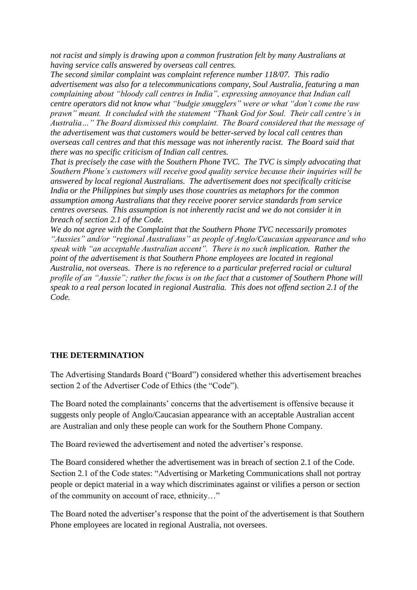*not racist and simply is drawing upon a common frustration felt by many Australians at having service calls answered by overseas call centres.*

*The second similar complaint was complaint reference number 118/07. This radio advertisement was also for a telecommunications company, Soul Australia, featuring a man complaining about "bloody call centres in India", expressing annoyance that Indian call centre operators did not know what "budgie smugglers" were or what "don't come the raw prawn" meant. It concluded with the statement "Thank God for Soul. Their call centre's in Australia…" The Board dismissed this complaint. The Board considered that the message of the advertisement was that customers would be better-served by local call centres than overseas call centres and that this message was not inherently racist. The Board said that there was no specific criticism of Indian call centres.* 

*That is precisely the case with the Southern Phone TVC. The TVC is simply advocating that Southern Phone's customers will receive good quality service because their inquiries will be answered by local regional Australians. The advertisement does not specifically criticise India or the Philippines but simply uses those countries as metaphors for the common assumption among Australians that they receive poorer service standards from service centres overseas. This assumption is not inherently racist and we do not consider it in breach of section 2.1 of the Code.*

*We do not agree with the Complaint that the Southern Phone TVC necessarily promotes "Aussies" and/or "regional Australians" as people of Anglo/Caucasian appearance and who speak with "an acceptable Australian accent". There is no such implication. Rather the point of the advertisement is that Southern Phone employees are located in regional Australia, not overseas. There is no reference to a particular preferred racial or cultural profile of an "Aussie"; rather the focus is on the fact that a customer of Southern Phone will speak to a real person located in regional Australia. This does not offend section 2.1 of the Code.*

## **THE DETERMINATION**

The Advertising Standards Board ("Board") considered whether this advertisement breaches section 2 of the Advertiser Code of Ethics (the "Code").

The Board noted the complainants' concerns that the advertisement is offensive because it suggests only people of Anglo/Caucasian appearance with an acceptable Australian accent are Australian and only these people can work for the Southern Phone Company.

The Board reviewed the advertisement and noted the advertiser's response.

The Board considered whether the advertisement was in breach of section 2.1 of the Code. Section 2.1 of the Code states: "Advertising or Marketing Communications shall not portray people or depict material in a way which discriminates against or vilifies a person or section of the community on account of race, ethnicity…"

The Board noted the advertiser's response that the point of the advertisement is that Southern Phone employees are located in regional Australia, not oversees.